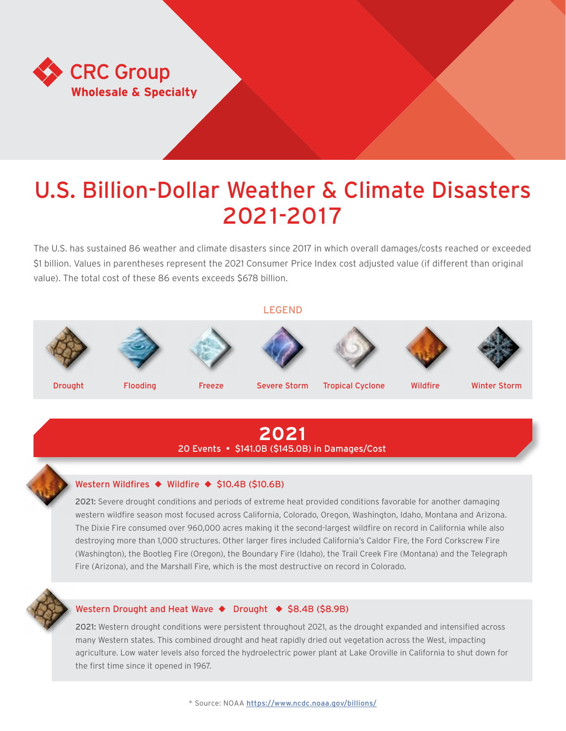

# U.S. Billion-Dollar Weather & Climate Disasters 2021-2017

The U.S. has sustained 86 weather and climate disasters since 2017 in which overall damages/costs reached or exceeded \$1 billion. Values in parentheses represent the 2021 Consumer Price Index cost adjusted value (if different than original value). The total cost of these 86 events exceeds \$678 billion.

LEGEND

















Drought Flooding Freeze Severe Storm Tropical Cyclone Wildfire Winter Storm

# **2021** 20 Events • \$141.0B (\$145.0B) in Damages/Cost

### Western Wildfires ◆ Wildfire ◆ \$10.4B (\$10.6B)

2021: Severe drought conditions and periods of extreme heat provided conditions favorable for another damaging western wildfire season most focused across California, Colorado, Oregon, Washington, Idaho, Montana and Arizona. The Dixie Fire consumed over 960,000 acres making it the second-largest wildfire on record in California while also destroying more than 1,000 structures. Other larger fires included California's Caldor Fire, the Ford Corkscrew Fire (Washington), the Bootleg Fire (Oregon), the Boundary Fire (Idaho), the Trail Creek Fire (Montana) and the Telegraph Fire (Arizona), and the Marshall Fire, which is the most destructive on record in Colorado.



### Western Drought and Heat Wave ♦ Drought ♦ \$8.4B (\$8.9B)

2021: Western drought conditions were persistent throughout 2021, as the drought expanded and intensified across many Western states. This combined drought and heat rapidly dried out vegetation across the West, impacting agriculture. Low water levels also forced the hydroelectric power plant at Lake Oroville in California to shut down for the first time since it opened in 1967.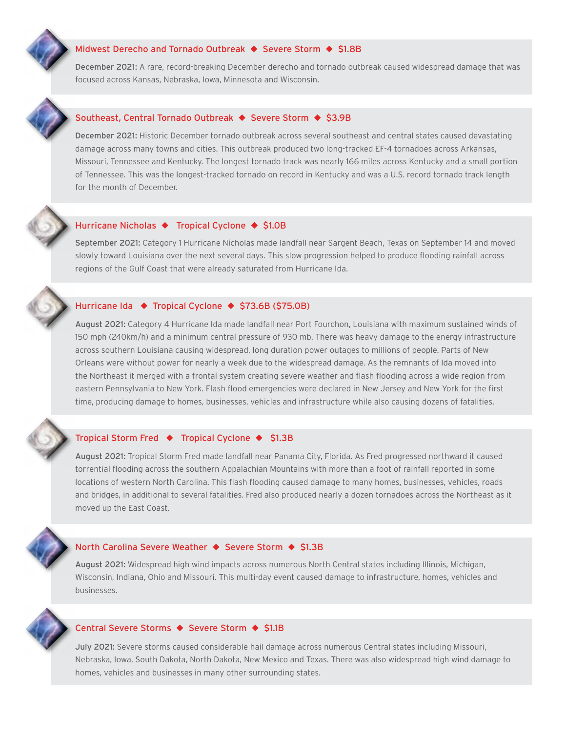### Midwest Derecho and Tornado Outbreak ◆ Severe Storm ◆ \$1.8B

December 2021: A rare, record-breaking December derecho and tornado outbreak caused widespread damage that was focused across Kansas, Nebraska, Iowa, Minnesota and Wisconsin.



### Southeast, Central Tornado Outbreak ◆ Severe Storm ◆ \$3.9B

December 2021: Historic December tornado outbreak across several southeast and central states caused devastating damage across many towns and cities. This outbreak produced two long-tracked EF-4 tornadoes across Arkansas, Missouri, Tennessee and Kentucky. The longest tornado track was nearly 166 miles across Kentucky and a small portion of Tennessee. This was the longest-tracked tornado on record in Kentucky and was a U.S. record tornado track length for the month of December.

### Hurricane Nicholas ◆ Tropical Cyclone ◆ \$1.0B

September 2021: Category 1 Hurricane Nicholas made landfall near Sargent Beach, Texas on September 14 and moved slowly toward Louisiana over the next several days. This slow progression helped to produce flooding rainfall across regions of the Gulf Coast that were already saturated from Hurricane Ida.

### Hurricane Ida ◆ Tropical Cyclone ◆ \$73.6B (\$75.0B)

August 2021: Category 4 Hurricane Ida made landfall near Port Fourchon, Louisiana with maximum sustained winds of 150 mph (240km/h) and a minimum central pressure of 930 mb. There was heavy damage to the energy infrastructure across southern Louisiana causing widespread, long duration power outages to millions of people. Parts of New Orleans were without power for nearly a week due to the widespread damage. As the remnants of Ida moved into the Northeast it merged with a frontal system creating severe weather and flash flooding across a wide region from eastern Pennsylvania to New York. Flash flood emergencies were declared in New Jersey and New York for the first time, producing damage to homes, businesses, vehicles and infrastructure while also causing dozens of fatalities.

### Tropical Storm Fred ◆ Tropical Cyclone ◆ \$1.3B

August 2021: Tropical Storm Fred made landfall near Panama City, Florida. As Fred progressed northward it caused torrential flooding across the southern Appalachian Mountains with more than a foot of rainfall reported in some locations of western North Carolina. This flash flooding caused damage to many homes, businesses, vehicles, roads and bridges, in additional to several fatalities. Fred also produced nearly a dozen tornadoes across the Northeast as it moved up the East Coast.

### North Carolina Severe Weather ◆ Severe Storm ◆ \$1.3B

August 2021: Widespread high wind impacts across numerous North Central states including Illinois, Michigan, Wisconsin, Indiana, Ohio and Missouri. This multi-day event caused damage to infrastructure, homes, vehicles and businesses.

### Central Severe Storms ◆ Severe Storm ◆ \$1.1B

July 2021: Severe storms caused considerable hail damage across numerous Central states including Missouri, Nebraska, Iowa, South Dakota, North Dakota, New Mexico and Texas. There was also widespread high wind damage to homes, vehicles and businesses in many other surrounding states.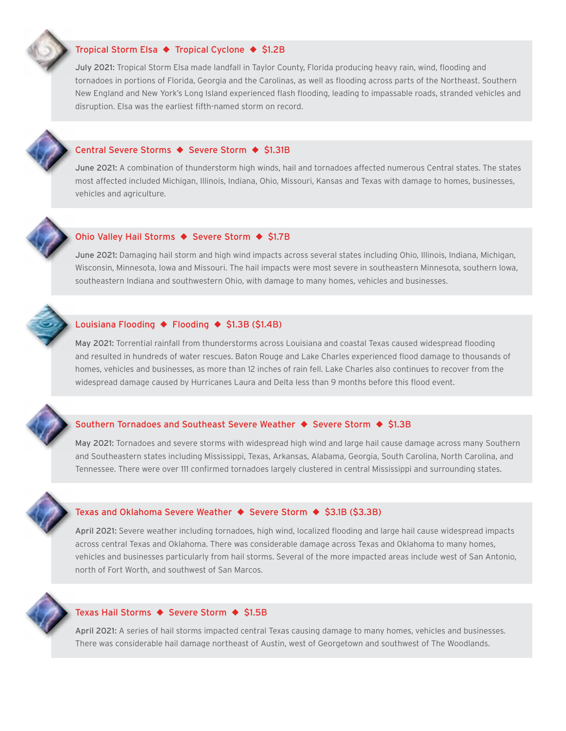### Tropical Storm Elsa ◆ Tropical Cyclone ◆ \$1.2B

July 2021: Tropical Storm Elsa made landfall in Taylor County, Florida producing heavy rain, wind, flooding and tornadoes in portions of Florida, Georgia and the Carolinas, as well as flooding across parts of the Northeast. Southern New England and New York's Long Island experienced flash flooding, leading to impassable roads, stranded vehicles and disruption. Elsa was the earliest fifth-named storm on record.

### Central Severe Storms ◆ Severe Storm ◆ \$1.31B

June 2021: A combination of thunderstorm high winds, hail and tornadoes affected numerous Central states. The states most affected included Michigan, Illinois, Indiana, Ohio, Missouri, Kansas and Texas with damage to homes, businesses, vehicles and agriculture.



### Ohio Valley Hail Storms ◆ Severe Storm ◆ \$1.7B

June 2021: Damaging hail storm and high wind impacts across several states including Ohio, Illinois, Indiana, Michigan, Wisconsin, Minnesota, Iowa and Missouri. The hail impacts were most severe in southeastern Minnesota, southern Iowa, southeastern Indiana and southwestern Ohio, with damage to many homes, vehicles and businesses.

### Louisiana Flooding ◆ Flooding ◆ \$1.3B (\$1.4B)

May 2021: Torrential rainfall from thunderstorms across Louisiana and coastal Texas caused widespread flooding and resulted in hundreds of water rescues. Baton Rouge and Lake Charles experienced flood damage to thousands of homes, vehicles and businesses, as more than 12 inches of rain fell. Lake Charles also continues to recover from the widespread damage caused by Hurricanes Laura and Delta less than 9 months before this flood event.



### Southern Tornadoes and Southeast Severe Weather ◆ Severe Storm ◆ \$1.3B

May 2021: Tornadoes and severe storms with widespread high wind and large hail cause damage across many Southern and Southeastern states including Mississippi, Texas, Arkansas, Alabama, Georgia, South Carolina, North Carolina, and Tennessee. There were over 111 confirmed tornadoes largely clustered in central Mississippi and surrounding states.



### Texas and Oklahoma Severe Weather ◆ Severe Storm ◆ \$3.1B (\$3.3B)

April 2021: Severe weather including tornadoes, high wind, localized flooding and large hail cause widespread impacts across central Texas and Oklahoma. There was considerable damage across Texas and Oklahoma to many homes, vehicles and businesses particularly from hail storms. Several of the more impacted areas include west of San Antonio, north of Fort Worth, and southwest of San Marcos.



### Texas Hail Storms ◆ Severe Storm ◆ \$1.5B

April 2021: A series of hail storms impacted central Texas causing damage to many homes, vehicles and businesses. There was considerable hail damage northeast of Austin, west of Georgetown and southwest of The Woodlands.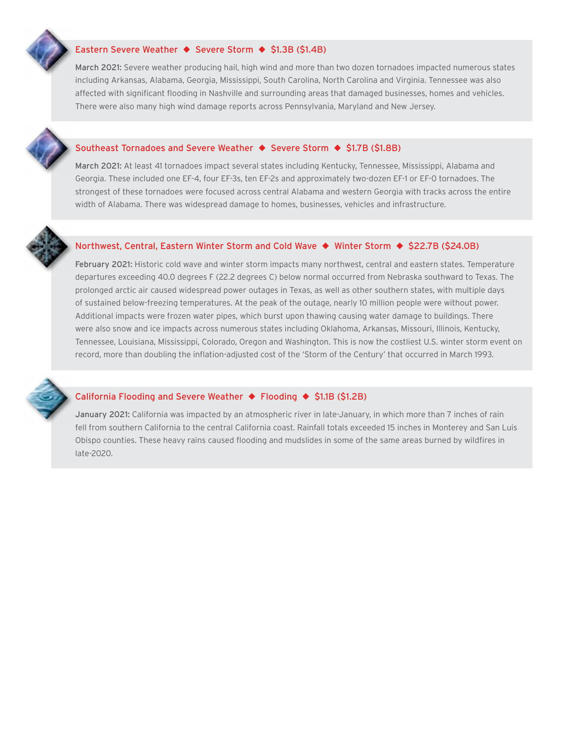### Eastern Severe Weather ◆ Severe Storm ◆ \$1.3B (\$1.4B)

March 2021: Severe weather producing hail, high wind and more than two dozen tornadoes impacted numerous states including Arkansas, Alabama, Georgia, Mississippi, South Carolina, North Carolina and Virginia. Tennessee was also affected with significant flooding in Nashville and surrounding areas that damaged businesses, homes and vehicles. There were also many high wind damage reports across Pennsylvania, Maryland and New Jersey.

### Southeast Tornadoes and Severe Weather ◆ Severe Storm ◆ \$1.7B (\$1.8B)

March 2021: At least 41 tornadoes impact several states including Kentucky, Tennessee, Mississippi, Alabama and Georgia. These included one EF-4, four EF-3s, ten EF-2s and approximately two-dozen EF-1 or EF-0 tornadoes. The strongest of these tornadoes were focused across central Alabama and western Georgia with tracks across the entire width of Alabama. There was widespread damage to homes, businesses, vehicles and infrastructure.

### Northwest, Central, Eastern Winter Storm and Cold Wave ◆ Winter Storm ◆ \$22.7B (\$24.0B)

February 2021: Historic cold wave and winter storm impacts many northwest, central and eastern states. Temperature departures exceeding 40.0 degrees F (22.2 degrees C) below normal occurred from Nebraska southward to Texas. The prolonged arctic air caused widespread power outages in Texas, as well as other southern states, with multiple days of sustained below-freezing temperatures. At the peak of the outage, nearly 10 million people were without power. Additional impacts were frozen water pipes, which burst upon thawing causing water damage to buildings. There were also snow and ice impacts across numerous states including Oklahoma, Arkansas, Missouri, Illinois, Kentucky, Tennessee, Louisiana, Mississippi, Colorado, Oregon and Washington. This is now the costliest U.S. winter storm event on record, more than doubling the inflation-adjusted cost of the 'Storm of the Century' that occurred in March 1993.



### California Flooding and Severe Weather ◆ Flooding ◆ \$1.1B (\$1.2B)

January 2021: California was impacted by an atmospheric river in late-January, in which more than 7 inches of rain fell from southern California to the central California coast. Rainfall totals exceeded 15 inches in Monterey and San Luis Obispo counties. These heavy rains caused flooding and mudslides in some of the same areas burned by wildfires in late-2020.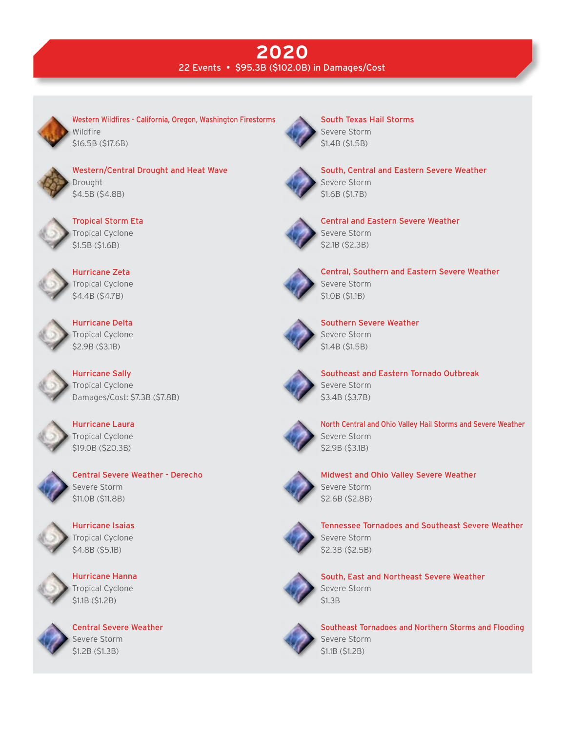# **2020** 22 Events • \$95.3B (\$102.0B) in Damages/Cost



Western Wildfires - California, Oregon, Washington Firestorms Wildfire \$16.5B (\$17.6B)



Western/Central Drought and Heat Wave Drought \$4.5B (\$4.8B)



Tropical Storm Eta Tropical Cyclone \$1.5B (\$1.6B)



Hurricane Zeta Tropical Cyclone \$4.4B (\$4.7B)



Hurricane Delta Tropical Cyclone \$2.9B (\$3.1B)

Hurricane Sally Tropical Cyclone Damages/Cost: \$7.3B (\$7.8B)



Hurricane Laura Tropical Cyclone \$19.0B (\$20.3B)



Central Severe Weather - Derecho Severe Storm \$11.0B (\$11.8B)





Hurricane Hanna Tropical Cyclone \$1.1B (\$1.2B)



Central Severe Weather Severe Storm \$1.2B (\$1.3B)



South Texas Hail Storms Severe Storm \$1.4B (\$1.5B)



South, Central and Eastern Severe Weather Severe Storm \$1.6B (\$1.7B)



Central and Eastern Severe Weather Severe Storm \$2.1B (\$2.3B)



Central, Southern and Eastern Severe Weather Severe Storm \$1.0B (\$1.1B)



Southern Severe Weather Severe Storm \$1.4B (\$1.5B)



Southeast and Eastern Tornado Outbreak Severe Storm \$3.4B (\$3.7B)



North Central and Ohio Valley Hail Storms and Severe Weather Severe Storm \$2.9B (\$3.1B)



Midwest and Ohio Valley Severe Weather Severe Storm \$2.6B (\$2.8B)



Tennessee Tornadoes and Southeast Severe Weather Severe Storm \$2.3B (\$2.5B)



South, East and Northeast Severe Weather Severe Storm \$1.3B



Southeast Tornadoes and Northern Storms and Flooding Severe Storm \$1.1B (\$1.2B)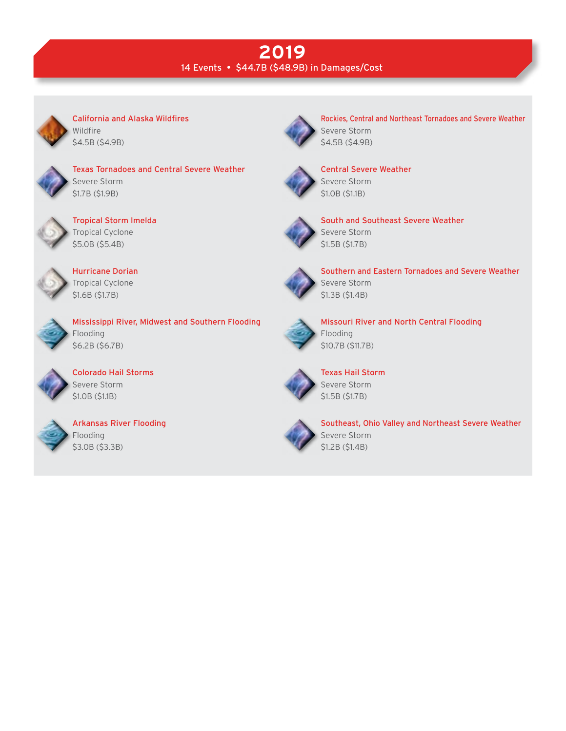# **2019** 14 Events • \$44.7B (\$48.9B) in Damages/Cost



California and Alaska Wildfires Wildfire \$4.5B (\$4.9B)



Texas Tornadoes and Central Severe Weather Severe Storm \$1.7B (\$1.9B)



Tropical Storm Imelda Tropical Cyclone \$5.0B (\$5.4B)



Hurricane Dorian Tropical Cyclone \$1.6B (\$1.7B)



Mississippi River, Midwest and Southern Flooding Flooding \$6.2B (\$6.7B)



Colorado Hail Storms Severe Storm \$1.0B (\$1.1B)



Arkansas River Flooding Flooding \$3.0B (\$3.3B)



Rockies, Central and Northeast Tornadoes and Severe Weather Severe Storm \$4.5B (\$4.9B)



Central Severe Weather Severe Storm \$1.0B (\$1.1B)



South and Southeast Severe Weather Severe Storm \$1.5B (\$1.7B)



Southern and Eastern Tornadoes and Severe Weather Severe Storm \$1.3B (\$1.4B)



Missouri River and North Central Flooding Flooding \$10.7B (\$11.7B)



Texas Hail Storm Severe Storm \$1.5B (\$1.7B)



Southeast, Ohio Valley and Northeast Severe Weather Severe Storm \$1.2B (\$1.4B)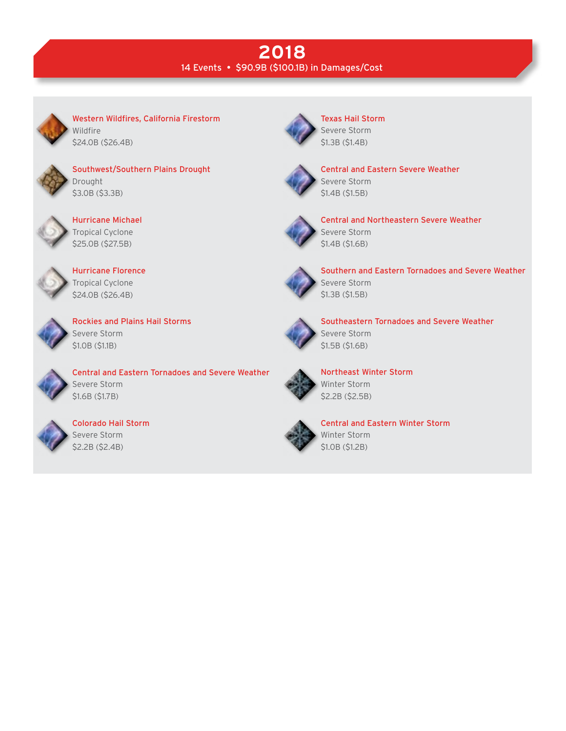# **2018** 14 Events • \$90.9B (\$100.1B) in Damages/Cost



Western Wildfires, California Firestorm **Wildfire** \$24.0B (\$26.4B)



Southwest/Southern Plains Drought Drought \$3.0B (\$3.3B)



Hurricane Michael Tropical Cyclone \$25.0B (\$27.5B)



Hurricane Florence Tropical Cyclone \$24.0B (\$26.4B)



Rockies and Plains Hail Storms Severe Storm \$1.0B (\$1.1B)



Central and Eastern Tornadoes and Severe Weather Severe Storm \$1.6B (\$1.7B)



Colorado Hail Storm Severe Storm \$2.2B (\$2.4B)



Texas Hail Storm Severe Storm \$1.3B (\$1.4B)



Central and Eastern Severe Weather Severe Storm \$1.4B (\$1.5B)



Central and Northeastern Severe Weather Severe Storm \$1.4B (\$1.6B)



Southern and Eastern Tornadoes and Severe Weather Severe Storm \$1.3B (\$1.5B)



Southeastern Tornadoes and Severe Weather Severe Storm \$1.5B (\$1.6B)



Northeast Winter Storm Winter Storm \$2.2B (\$2.5B)



Central and Eastern Winter Storm Winter Storm \$1.0B (\$1.2B)